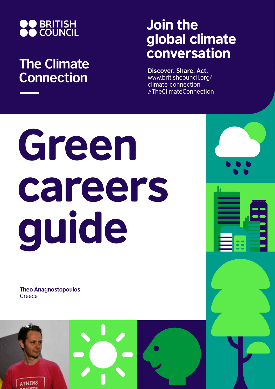

## **The Climate Connection**

## Join the global climate conversation

**Discover. Share. Act.** www.britishcouncil.org/ climate-connection #TheClimateConnection

# Green careers guide

**Theo Anagnostopoulos Greece** 

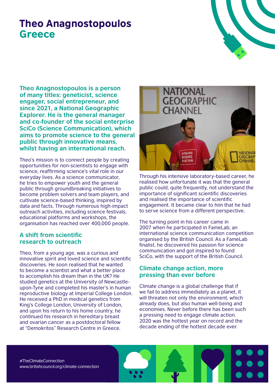### Theo Anagnostopoulos **Greece**

**Theo Anagnostopoulos is a person of many titles: geneticist, science engager, social entrepreneur, and since 2021, a National Geographic Explorer. He is the general manager and co-founder of the social enterprise SciCo (Science Communication), which aims to promote science to the general public through innovative means, whilst having an international reach.**

Theo's mission is to connect people by creating opportunities for non-scientists to engage with science, reaffirming science's vital role in our everyday lives. As a science communicator, he tries to empower youth and the general public through groundbreaking initiatives to become problem solvers and team players, and cultivate science-based thinking, inspired by data and facts. Through numerous high-impact outreach activities, including science festivals, educational platforms and workshops, the organisation has reached over 400,000 people.

#### **A shift from scientific research to outreach**

Theo, from a young age, was a curious and innovative spirit and loved science and scientific discoveries. He soon realised that he wanted to become a scientist and what a better place to accomplish his dream than in the UK? He studied genetics at the University of Newcastleupon-Tyne and completed his master's in human reproductive biology at Imperial College London. He received a PhD in medical genetics from King's College London, University of London, and upon his return to his home country, he continued his research in hereditary breast and ovarian cancer as a postdoctoral fellow at "Demokritos" Research Centre in Greece.



Through his intensive laboratory-based career, he realised how unfortunate it was that the general public could, quite frequently, not understand the importance of significant scientific discoveries and realised the importance of scientific engagement. It became clear to him that he had to serve science from a different perspective.

The turning point in his career came in 2007 when he participated in FameLab, an international science communication competition organised by the British Council. As a FameLab finalist, he discovered his passion for science communication and got inspired to found SciCo, with the support of the British Council.

#### **Climate change action, more pressing than ever before**

Climate change is a global challenge that if we fail to address immediately as a planet, it will threaten not only the environment, which already does, but also human well-being and economies. Never before there has been such a pressing need to engage climate action. 2020 was the hottest year on record and the decade ending of the hottest decade ever.

#TheClimateConnection www.britishcouncil.org/climate-connection